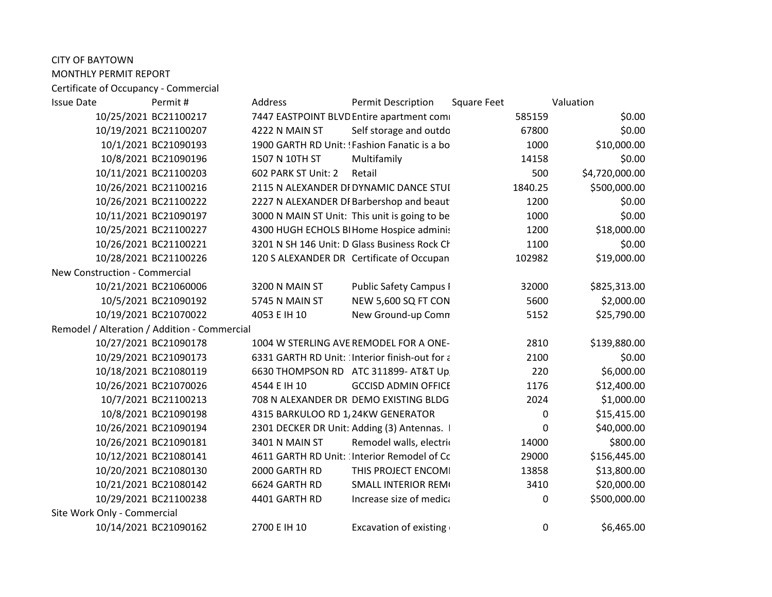| <b>CITY OF BAYTOWN</b>                       |                                                 |                                |                |
|----------------------------------------------|-------------------------------------------------|--------------------------------|----------------|
| MONTHLY PERMIT REPORT                        |                                                 |                                |                |
| Certificate of Occupancy - Commercial        |                                                 |                                |                |
| <b>Issue Date</b><br>Permit #                | Address                                         | Permit Description Square Feet | Valuation      |
| 10/25/2021 BC2110021                         | 7447 EASTPOINT BLVD Entire apartment comi       | 585159                         | \$0.00         |
| 10/19/2021 BC21100207                        | 4222 N MAIN ST<br>Self storage and outdo        | 67800                          | \$0.00         |
| 10/1/2021 BC21090193                         | 1900 GARTH RD Unit: 'Fashion Fanatic is a bo    | 1000                           | \$10,000.00    |
| 10/8/2021 BC21090196                         | 1507 N 10TH ST<br>Multifamily                   | 14158                          | \$0.00         |
| 10/11/2021 BC21100203                        | 602 PARK ST Unit: 2 Retail                      | 500                            | \$4,720,000.00 |
| 10/26/2021 BC21100216                        | 2115 N ALEXANDER DI DYNAMIC DANCE STUI          | 1840.25                        | \$500,000.00   |
| 10/26/2021 BC21100222                        | 2227 N ALEXANDER DI Barbershop and beaut        | 1200                           | \$0.00         |
| 10/11/2021 BC21090197                        | 3000 N MAIN ST Unit: This unit is going to be   | 1000                           | \$0.00         |
| 10/25/2021 BC2110022                         | 4300 HUGH ECHOLS BI Home Hospice adminis        | 1200                           | \$18,000.00    |
| 10/26/2021 BC21100221                        | 3201 N SH 146 Unit: D Glass Business Rock Ch    | 1100                           | \$0.00         |
| 10/28/2021 BC21100226                        | 120 S ALEXANDER DR Certificate of Occupan       | 102982                         | \$19,000.00    |
| New Construction - Commercial                |                                                 |                                |                |
| 10/21/2021 BC21060006                        | <b>Public Safety Campus I</b><br>3200 N MAIN ST | 32000                          | \$825,313.00   |
| 10/5/2021 BC21090192                         | NEW 5,600 SQ FT CON<br>5745 N MAIN ST           | 5600                           | \$2,000.00     |
| 10/19/2021 BC21070022                        | 4053 E IH 10<br>New Ground-up Comn              | 5152                           | \$25,790.00    |
| Remodel / Alteration / Addition - Commercial |                                                 |                                |                |
| 10/27/2021 BC21090178                        | 1004 W STERLING AVE REMODEL FOR A ONE-          | 2810                           | \$139,880.00   |
| 10/29/2021 BC2109017                         | 6331 GARTH RD Unit: ∶Interior finish-out for a  | 2100                           | \$0.00         |
| 10/18/2021 BC21080119                        | 6630 THOMPSON RD ATC 311899- AT&T Up            | 220                            | \$6,000.00     |
| 10/26/2021 BC21070026                        | 4544 E IH 10<br><b>GCCISD ADMIN OFFICE</b>      | 1176                           | \$12,400.00    |
| 10/7/2021 BC21100213                         | 708 N ALEXANDER DR DEMO EXISTING BLDG           | 2024                           | \$1,000.00     |
| 10/8/2021 BC21090198                         | 4315 BARKULOO RD 1, 24KW GENERATOR              |                                | \$15,415.00    |
| 10/26/2021 BC21090194                        | 2301 DECKER DR Unit: Adding (3) Antennas.       |                                | \$40,000.00    |
| 10/26/2021 BC21090181                        | 3401 N MAIN ST<br>Remodel walls, electric       | 14000                          | \$800.00       |
| 10/12/2021 BC2108014:                        | 4611 GARTH RD Unit: Interior Remodel of Cc      | 29000                          | \$156,445.00   |
| 10/20/2021 BC21080130                        | 2000 GARTH RD<br>THIS PROJECT ENCOMI            | 13858                          | \$13,800.00    |
| 10/21/2021 BC21080142                        | 6624 GARTH RD<br><b>SMALL INTERIOR REMI</b>     | 3410                           | \$20,000.00    |
| 10/29/2021 BC21100238                        | 4401 GARTH RD<br>Increase size of medica        |                                | \$500,000.00   |
| Site Work Only - Commercial                  |                                                 |                                |                |
| 10/14/2021 BC21090162                        | 2700 E IH 10<br><b>Excavation of existing</b>   |                                | \$6,465.00     |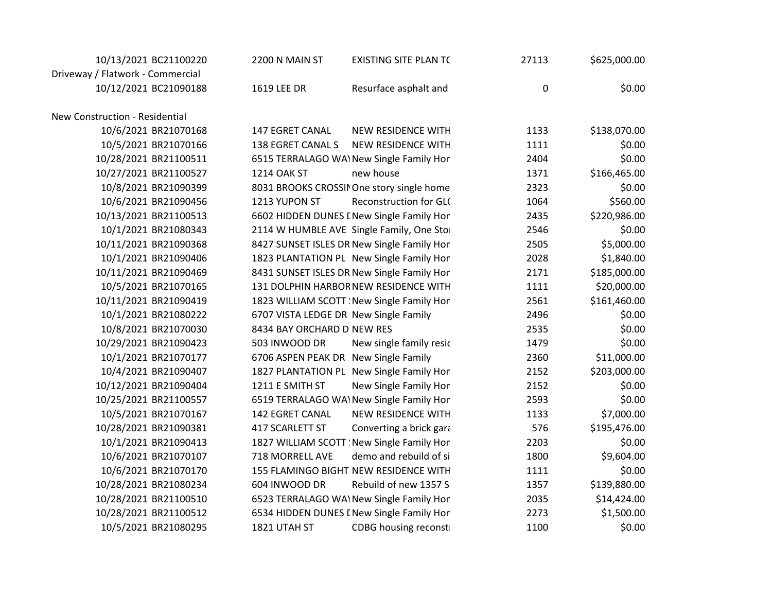| 10/13/2021 BC21100220            | 2200 N MAIN ST             | <b>EXISTING SITE PLAN TC</b>               | 27113     | \$625,000.00 |  |
|----------------------------------|----------------------------|--------------------------------------------|-----------|--------------|--|
| Driveway / Flatwork - Commercial |                            |                                            |           |              |  |
| 10/12/2021 BC21090188            | 1619 LEE DR                | Resurface asphalt and                      | $\pmb{0}$ | \$0.00       |  |
|                                  |                            |                                            |           |              |  |
| New Construction - Residential   |                            |                                            |           |              |  |
| 10/6/2021 BR21070168             | <b>147 EGRET CANAL</b>     | NEW RESIDENCE WITH                         | 1133      | \$138,070.00 |  |
| 10/5/2021 BR21070166             | 138 EGRET CANAL S          | NEW RESIDENCE WITH                         | 1111      | \$0.00       |  |
| 10/28/2021 BR21100511            |                            | 6515 TERRALAGO WA\New Single Family Hon    | 2404      | \$0.00       |  |
| 10/27/2021 BR21100527            | 1214 OAK ST                | new house                                  | 1371      | \$166,465.00 |  |
| 10/8/2021 BR21090399             |                            | 8031 BROOKS CROSSII One story single home  | 2323      | \$0.00       |  |
| 10/6/2021 BR21090456             | 1213 YUPON ST              | Reconstruction for GL(                     | 1064      | \$560.00     |  |
| 10/13/2021 BR21100513            |                            | 6602 HIDDEN DUNES I New Single Family Hon  | 2435      | \$220,986.00 |  |
| 10/1/2021 BR21080343             |                            | 2114 W HUMBLE AVE Single Family, One Stor  | 2546      | \$0.00       |  |
| 10/11/2021 BR21090368            |                            | 8427 SUNSET ISLES DR New Single Family Hon | 2505      | \$5,000.00   |  |
| 10/1/2021 BR21090406             |                            | 1823 PLANTATION PL New Single Family Hon   | 2028      | \$1,840.00   |  |
| 10/11/2021 BR21090469            |                            | 8431 SUNSET ISLES DR New Single Family Hon | 2171      | \$185,000.00 |  |
| 10/5/2021 BR21070165             |                            | 131 DOLPHIN HARBOR NEW RESIDENCE WITH      | 1111      | \$20,000.00  |  |
| 10/11/2021 BR21090419            |                            | 1823 WILLIAM SCOTT : New Single Family Hon | 2561      | \$161,460.00 |  |
| 10/1/2021 BR21080222             |                            | 6707 VISTA LEDGE DR New Single Family      | 2496      | \$0.00       |  |
| 10/8/2021 BR21070030             | 8434 BAY ORCHARD D NEW RES |                                            | 2535      | \$0.00       |  |
| 10/29/2021 BR21090423            | 503 INWOOD DR              | New single family resic                    | 1479      | \$0.00       |  |
| 10/1/2021 BR21070177             |                            | 6706 ASPEN PEAK DR New Single Family       | 2360      | \$11,000.00  |  |
| 10/4/2021 BR21090407             |                            | 1827 PLANTATION PL New Single Family Hon   | 2152      | \$203,000.00 |  |
| 10/12/2021 BR21090404            | 1211 E SMITH ST            | New Single Family Hon                      | 2152      | \$0.00       |  |
| 10/25/2021 BR21100557            |                            | 6519 TERRALAGO WA\New Single Family Hon    | 2593      | \$0.00       |  |
| 10/5/2021 BR21070167             | 142 EGRET CANAL            | NEW RESIDENCE WITH                         | 1133      | \$7,000.00   |  |
| 10/28/2021 BR21090381            | 417 SCARLETT ST            | Converting a brick gara                    | 576       | \$195,476.00 |  |
| 10/1/2021 BR21090413             |                            | 1827 WILLIAM SCOTT : New Single Family Hon | 2203      | \$0.00       |  |
| 10/6/2021 BR21070107             | 718 MORRELL AVE            | demo and rebuild of si                     | 1800      | \$9,604.00   |  |
| 10/6/2021 BR21070170             |                            | 155 FLAMINGO BIGHT NEW RESIDENCE WITH      | 1111      | \$0.00       |  |
| 10/28/2021 BR21080234            | 604 INWOOD DR              | Rebuild of new 1357 S                      | 1357      | \$139,880.00 |  |
| 10/28/2021 BR21100510            |                            | 6523 TERRALAGO WA\New Single Family Hon    | 2035      | \$14,424.00  |  |
| 10/28/2021 BR21100512            |                            | 6534 HIDDEN DUNES I New Single Family Hon  | 2273      | \$1,500.00   |  |
| 10/5/2021 BR21080295             | 1821 UTAH ST               | <b>CDBG</b> housing reconst                | 1100      | \$0.00       |  |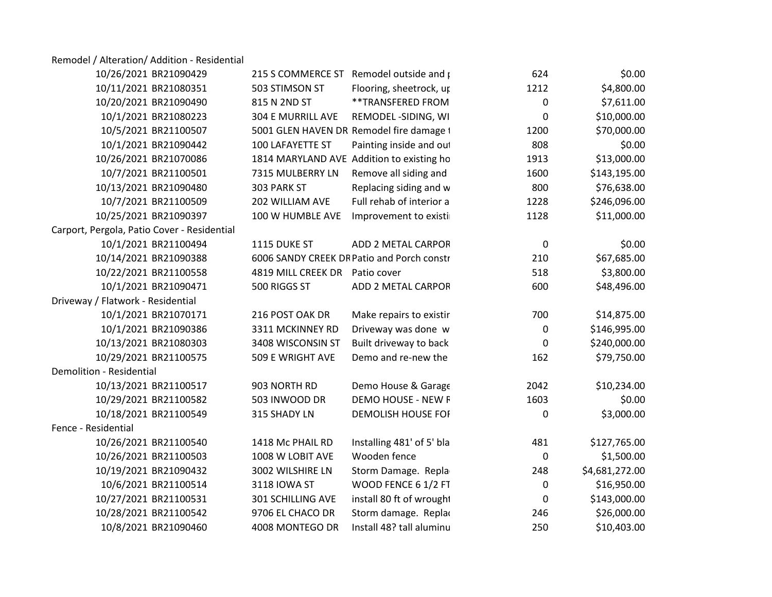Remodel / Alteration/ Addition - Residential

| 10/26/2021 BR21090429                       |                                | 215 S COMMERCE ST Remodel outside and p    | 624          | \$0.00         |  |
|---------------------------------------------|--------------------------------|--------------------------------------------|--------------|----------------|--|
| 10/11/2021 BR21080351                       | 503 STIMSON ST                 | Flooring, sheetrock, up                    | 1212         | \$4,800.00     |  |
| 10/20/2021 BR21090490                       | 815 N 2ND ST                   | **TRANSFERED FROM                          |              | \$7,611.00     |  |
| 10/1/2021 BR21080223                        | 304 E MURRILL AVE              | REMODEL -SIDING, WI                        |              | \$10,000.00    |  |
| 10/5/2021 BR21100507                        |                                | 5001 GLEN HAVEN DR Remodel fire damage 1   | 1200         | \$70,000.00    |  |
| 10/1/2021 BR21090442                        | 100 LAFAYETTE ST               | Painting inside and out                    | 808          | \$0.00         |  |
| 10/26/2021 BR21070086                       |                                | 1814 MARYLAND AVE Addition to existing ho  | 1913         | \$13,000.00    |  |
| 10/7/2021 BR21100501                        |                                | 7315 MULBERRY LN Remove all siding and     | 1600         | \$143,195.00   |  |
| 10/13/2021 BR21090480                       | 303 PARK ST                    | Replacing siding and w                     | 800          | \$76,638.00    |  |
| 10/7/2021 BR21100509                        | 202 WILLIAM AVE                | Full rehab of interior a                   | 1228         | \$246,096.00   |  |
| 10/25/2021 BR21090397                       |                                | 100 W HUMBLE AVE Improvement to existi     | 1128         | \$11,000.00    |  |
| Carport, Pergola, Patio Cover - Residential |                                |                                            |              |                |  |
| 10/1/2021 BR21100494                        | 1115 DUKE ST                   | ADD 2 METAL CARPOR                         | $\mathbf 0$  | \$0.00         |  |
| 10/14/2021 BR21090388                       |                                | 6006 SANDY CREEK DR Patio and Porch constr | 210          | \$67,685.00    |  |
| 10/22/2021 BR21100558                       | 4819 MILL CREEK DR Patio cover |                                            | 518          | \$3,800.00     |  |
| 10/1/2021 BR21090471                        | 500 RIGGS ST                   | ADD 2 METAL CARPOR                         | 600          | \$48,496.00    |  |
| Driveway / Flatwork - Residential           |                                |                                            |              |                |  |
| 10/1/2021 BR21070171                        | 216 POST OAK DR                | Make repairs to existir                    | 700          | \$14,875.00    |  |
| 10/1/2021 BR21090386                        | 3311 MCKINNEY RD               | Driveway was done w                        | $\mathbf{0}$ | \$146,995.00   |  |
| 10/13/2021 BR21080303                       | 3408 WISCONSIN ST              | Built driveway to back                     | $\Omega$     | \$240,000.00   |  |
| 10/29/2021 BR21100575                       | 509 E WRIGHT AVE               | Demo and re-new the                        | 162          | \$79,750.00    |  |
| <b>Demolition - Residential</b>             |                                |                                            |              |                |  |
| 10/13/2021 BR21100517                       | 903 NORTH RD                   | Demo House & Garage                        | 2042         | \$10,234.00    |  |
| 10/29/2021 BR21100582                       | 503 INWOOD DR                  | <b>DEMO HOUSE - NEW R</b>                  | 1603         | \$0.00         |  |
| 10/18/2021 BR21100549                       | 315 SHADY LN                   | <b>DEMOLISH HOUSE FOF</b>                  | $\mathbf 0$  | \$3,000.00     |  |
| Fence - Residential                         |                                |                                            |              |                |  |
| 10/26/2021 BR21100540                       | 1418 Mc PHAIL RD               | Installing 481' of 5' bla                  | 481          | \$127,765.00   |  |
| 10/26/2021 BR21100503                       | 1008 W LOBIT AVE               | Wooden fence                               | $\mathbf 0$  | \$1,500.00     |  |
| 10/19/2021 BR21090432                       | 3002 WILSHIRE LN               | Storm Damage. Repla                        | 248          | \$4,681,272.00 |  |
| 10/6/2021 BR21100514                        | 3118 IOWA ST                   | WOOD FENCE 6 1/2 FT                        | 0            | \$16,950.00    |  |
| 10/27/2021 BR21100531                       | 301 SCHILLING AVE              | install 80 ft of wrought                   | $\Omega$     | \$143,000.00   |  |
| 10/28/2021 BR21100542                       | 9706 EL CHACO DR               | Storm damage. Replac                       | 246          | \$26,000.00    |  |
| 10/8/2021 BR21090460                        | 4008 MONTEGO DR                | Install 48? tall aluminu                   | 250          | \$10,403.00    |  |
|                                             |                                |                                            |              |                |  |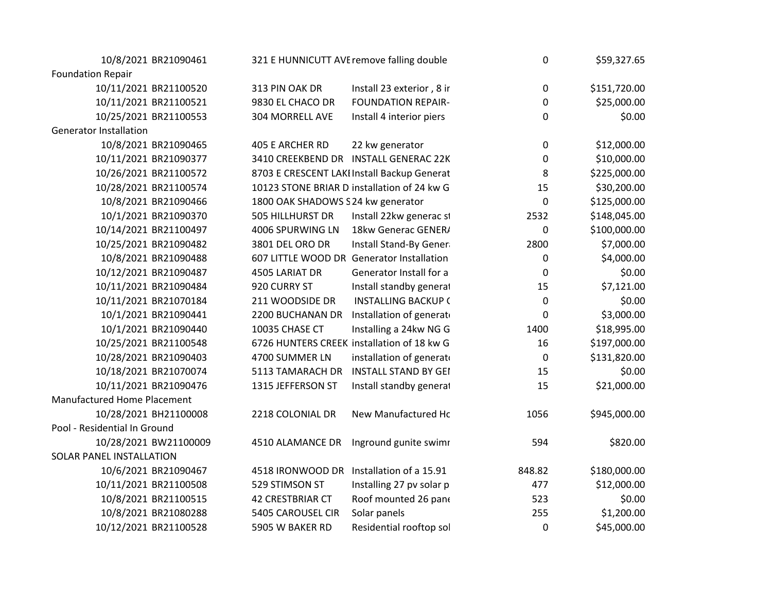| 10/8/2021 BR21090461               | 321 E HUNNICUTT AVE remove falling double   |                            | $\Omega$    | \$59,327.65  |
|------------------------------------|---------------------------------------------|----------------------------|-------------|--------------|
| <b>Foundation Repair</b>           |                                             |                            |             |              |
| 10/11/2021 BR21100520              | 313 PIN OAK DR                              | Install 23 exterior, 8 ir  | $\Omega$    | \$151,720.00 |
| 10/11/2021 BR21100521              | 9830 EL CHACO DR                            | <b>FOUNDATION REPAIR-</b>  | $\Omega$    | \$25,000.00  |
| 10/25/2021 BR21100553              | 304 MORRELL AVE                             | Install 4 interior piers   | $\Omega$    | \$0.00       |
| <b>Generator Installation</b>      |                                             |                            |             |              |
| 10/8/2021 BR21090465               | 405 E ARCHER RD                             | 22 kw generator            | $\Omega$    | \$12,000.00  |
| 10/11/2021 BR21090377              | 3410 CREEKBEND DR INSTALL GENERAC 22K       |                            | $\Omega$    | \$10,000.00  |
| 10/26/2021 BR21100572              | 8703 E CRESCENT LAKI Install Backup Generat |                            | 8           | \$225,000.00 |
| 10/28/2021 BR21100574              | 10123 STONE BRIAR D installation of 24 kw G |                            | 15          | \$30,200.00  |
| 10/8/2021 BR21090466               | 1800 OAK SHADOWS S 24 kw generator          |                            | $\Omega$    | \$125,000.00 |
| 10/1/2021 BR21090370               | 505 HILLHURST DR                            | Install 22kw generac st    | 2532        | \$148,045.00 |
| 10/14/2021 BR21100497              | 4006 SPURWING LN 18kw Generac GENER/        |                            | $\mathbf 0$ | \$100,000.00 |
| 10/25/2021 BR21090482              | 3801 DEL ORO DR                             | Install Stand-By Gener     | 2800        | \$7,000.00   |
| 10/8/2021 BR21090488               | 607 LITTLE WOOD DR Generator Installation   |                            | $\Omega$    | \$4,000.00   |
| 10/12/2021 BR21090487              | 4505 LARIAT DR                              | Generator Install for a    | $\Omega$    | \$0.00       |
| 10/11/2021 BR21090484              | 920 CURRY ST                                | Install standby general    | 15          | \$7,121.00   |
| 10/11/2021 BR21070184              | 211 WOODSIDE DR                             | <b>INSTALLING BACKUP (</b> |             | \$0.00       |
| 10/1/2021 BR21090441               | 2200 BUCHANAN DR Installation of generato   |                            | $\Omega$    | \$3,000.00   |
| 10/1/2021 BR21090440               | 10035 CHASE CT                              | Installing a 24kw NG G     | 1400        | \$18,995.00  |
| 10/25/2021 BR21100548              | 6726 HUNTERS CREEK installation of 18 kw G  |                            | 16          | \$197,000.00 |
| 10/28/2021 BR21090403              | 4700 SUMMER LN                              | installation of generato   | $\Omega$    | \$131,820.00 |
| 10/18/2021 BR21070074              | 5113 TAMARACH DR INSTALL STAND BY GEI       |                            | 15          | \$0.00       |
| 10/11/2021 BR21090476              | 1315 JEFFERSON ST                           | Install standby general    | 15          | \$21,000.00  |
| <b>Manufactured Home Placement</b> |                                             |                            |             |              |
| 10/28/2021 BH21100008              | 2218 COLONIAL DR                            | New Manufactured Hc        | 1056        | \$945,000.00 |
| Pool - Residential In Ground       |                                             |                            |             |              |
| 10/28/2021 BW21100009              | 4510 ALAMANCE DR Inground gunite swimr      |                            | 594         | \$820.00     |
|                                    |                                             |                            |             |              |
| SOLAR PANEL INSTALLATION           |                                             |                            |             |              |
| 10/6/2021 BR21090467               | 4518 IRONWOOD DR Installation of a 15.91    |                            | 848.82      | \$180,000.00 |
| 10/11/2021 BR21100508              | 529 STIMSON ST                              | Installing 27 pv solar p   | 477         | \$12,000.00  |
| 10/8/2021 BR21100515               | <b>42 CRESTBRIAR CT</b>                     | Roof mounted 26 pane       | 523         | \$0.00       |
| 10/8/2021 BR21080288               | 5405 CAROUSEL CIR                           | Solar panels               | 255         | \$1,200.00   |
| 10/12/2021 BR21100528              | 5905 W BAKER RD                             | Residential rooftop sol    | $\Omega$    | \$45,000.00  |